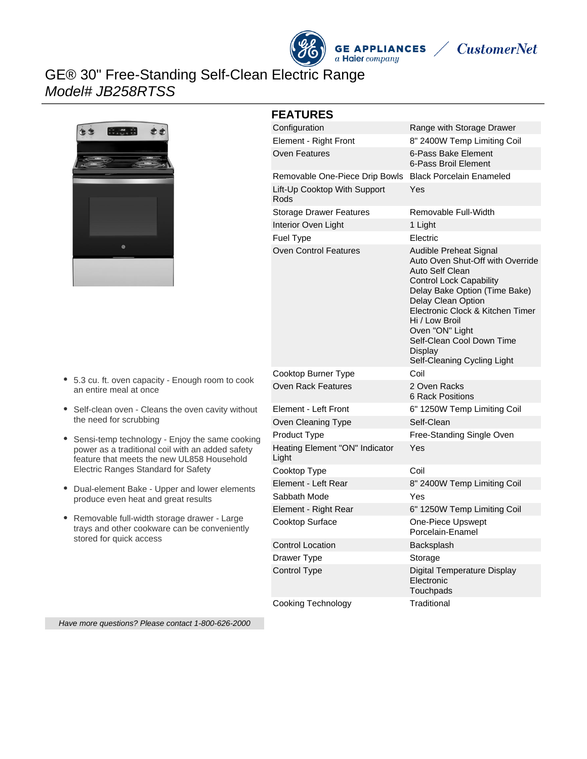

# GE® 30" Free-Standing Self-Clean Electric Range Model# JB258RTSS



#### **FEATURES**

| Configuration                           | Range with Storage Drawer                                                                                                                                                                                                                                                                                              |
|-----------------------------------------|------------------------------------------------------------------------------------------------------------------------------------------------------------------------------------------------------------------------------------------------------------------------------------------------------------------------|
| Element - Right Front                   | 8" 2400W Temp Limiting Coil                                                                                                                                                                                                                                                                                            |
| <b>Oven Features</b>                    | 6-Pass Bake Element<br>6-Pass Broil Element                                                                                                                                                                                                                                                                            |
| Removable One-Piece Drip Bowls          | <b>Black Porcelain Enameled</b>                                                                                                                                                                                                                                                                                        |
| Lift-Up Cooktop With Support<br>Rods    | Yes                                                                                                                                                                                                                                                                                                                    |
| <b>Storage Drawer Features</b>          | Removable Full-Width                                                                                                                                                                                                                                                                                                   |
| Interior Oven Light                     | 1 Light                                                                                                                                                                                                                                                                                                                |
| Fuel Type                               | Electric                                                                                                                                                                                                                                                                                                               |
| <b>Oven Control Features</b>            | Audible Preheat Signal<br>Auto Oven Shut-Off with Override<br>Auto Self Clean<br><b>Control Lock Capability</b><br>Delay Bake Option (Time Bake)<br>Delay Clean Option<br>Electronic Clock & Kitchen Timer<br>Hi / Low Broil<br>Oven "ON" Light<br>Self-Clean Cool Down Time<br>Display<br>Self-Cleaning Cycling Light |
|                                         |                                                                                                                                                                                                                                                                                                                        |
| Cooktop Burner Type                     | Coil                                                                                                                                                                                                                                                                                                                   |
| Oven Rack Features                      | 2 Oven Racks<br>6 Rack Positions                                                                                                                                                                                                                                                                                       |
| Element - Left Front                    | 6" 1250W Temp Limiting Coil                                                                                                                                                                                                                                                                                            |
| Oven Cleaning Type                      | Self-Clean                                                                                                                                                                                                                                                                                                             |
| Product Type                            | Free-Standing Single Oven                                                                                                                                                                                                                                                                                              |
| Heating Element "ON" Indicator<br>Light | Yes                                                                                                                                                                                                                                                                                                                    |
| Cooktop Type                            | Coil                                                                                                                                                                                                                                                                                                                   |
| Element - Left Rear                     | 8" 2400W Temp Limiting Coil                                                                                                                                                                                                                                                                                            |
| Sabbath Mode                            | Yes                                                                                                                                                                                                                                                                                                                    |
| Element - Right Rear                    | 6" 1250W Temp Limiting Coil                                                                                                                                                                                                                                                                                            |
| Cooktop Surface                         | One-Piece Upswept<br>Porcelain-Enamel                                                                                                                                                                                                                                                                                  |
| <b>Control Location</b>                 | Backsplash                                                                                                                                                                                                                                                                                                             |
| Drawer Type                             | Storage                                                                                                                                                                                                                                                                                                                |
| <b>Control Type</b>                     | Digital Temperature Display<br>Electronic<br>Touchpads                                                                                                                                                                                                                                                                 |

5.3 cu. ft. oven capacity - Enough room to cook an entire meal at once

- Self-clean oven Cleans the oven cavity without the need for scrubbing
- Sensi-temp technology Enjoy the same cooking power as a traditional coil with an added safety feature that meets the new UL858 Household Electric Ranges Standard for Safety
- $\bullet$ Dual-element Bake - Upper and lower elements produce even heat and great results
- Removable full-width storage drawer Large trays and other cookware can be conveniently stored for quick access

Have more questions? Please contact 1-800-626-2000